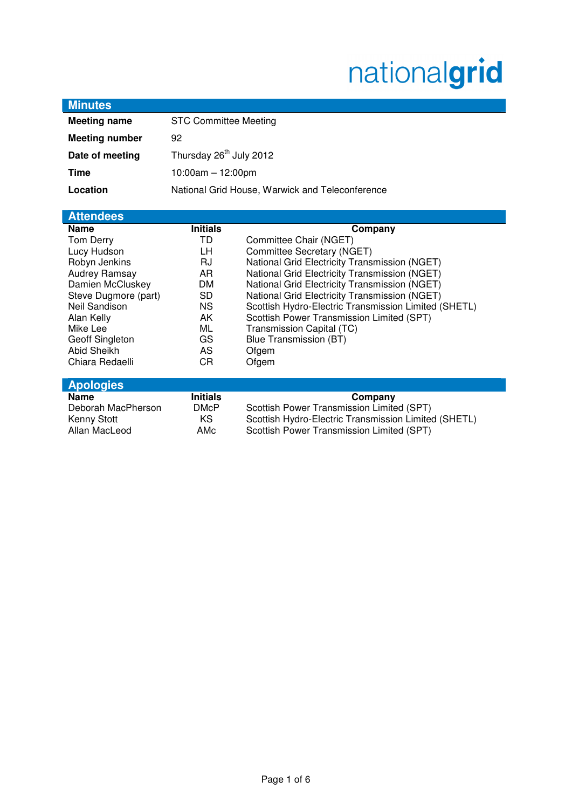# nationalgrid

| <b>Minutes</b>        |                                                 |                                                      |
|-----------------------|-------------------------------------------------|------------------------------------------------------|
| <b>Meeting name</b>   | <b>STC Committee Meeting</b>                    |                                                      |
| <b>Meeting number</b> | 92                                              |                                                      |
| Date of meeting       | Thursday 26 <sup>th</sup> July 2012             |                                                      |
| <b>Time</b>           | $10:00am - 12:00pm$                             |                                                      |
| Location              | National Grid House, Warwick and Teleconference |                                                      |
|                       |                                                 |                                                      |
| <b>Attendees</b>      |                                                 |                                                      |
| <b>Name</b>           | <b>Initials</b>                                 | Company                                              |
| Tom Derry             | TD                                              | Committee Chair (NGET)                               |
| Lucy Hudson           | LН                                              | Committee Secretary (NGET)                           |
| Robyn Jenkins         | RJ                                              | National Grid Electricity Transmission (NGET)        |
| Audrey Ramsay         | AR                                              | National Grid Electricity Transmission (NGET)        |
| Damien McCluskey      | <b>DM</b>                                       | National Grid Electricity Transmission (NGET)        |
| Steve Dugmore (part)  | <b>SD</b>                                       | National Grid Electricity Transmission (NGET)        |
| Neil Sandison         | <b>NS</b>                                       | Scottish Hydro-Electric Transmission Limited (SHETL) |
| Alan Kelly            | AK                                              | Scottish Power Transmission Limited (SPT)            |
| Mike Lee              | ML                                              | Transmission Capital (TC)                            |
| Geoff Singleton       | GS                                              | <b>Blue Transmission (BT)</b>                        |
| Abid Sheikh           | <b>AS</b>                                       | Ofgem                                                |
| Chiara Redaelli       | <b>CR</b>                                       | Ofgem                                                |
| <b>Apologies</b>      |                                                 |                                                      |
| <b>Name</b>           | <b>Initials</b>                                 | Company                                              |
| Deborah MacPherson    | <b>DMcP</b>                                     | Scottish Power Transmission Limited (SPT)            |
| <b>Kenny Stott</b>    | KS                                              | Scottish Hydro-Electric Transmission Limited (SHETL) |
| Allan MacLeod         | AMc                                             | Scottish Power Transmission Limited (SPT)            |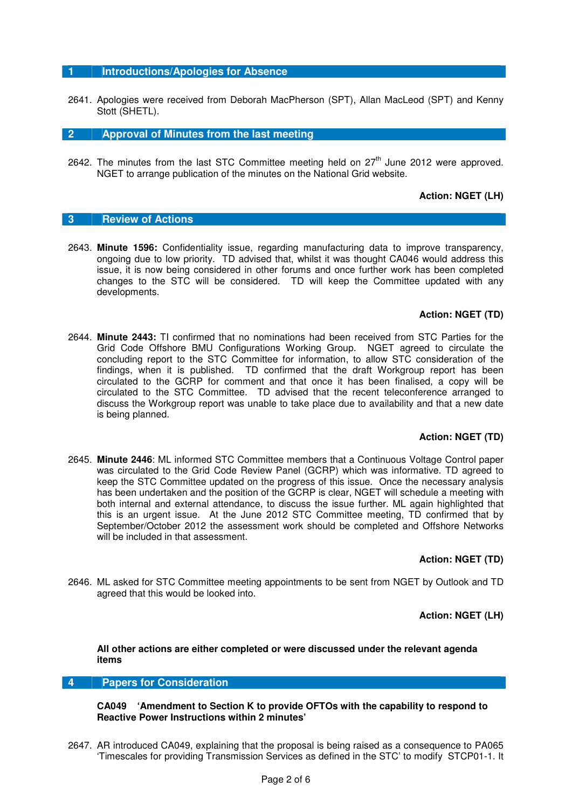# **1 Introductions/Apologies for Absence**

2641. Apologies were received from Deborah MacPherson (SPT), Allan MacLeod (SPT) and Kenny Stott (SHETL).

**2 Approval of Minutes from the last meeting** 

2642. The minutes from the last STC Committee meeting held on  $27<sup>th</sup>$  June 2012 were approved. NGET to arrange publication of the minutes on the National Grid website.

# **Action: NGET (LH)**

# **3 Review of Actions**

2643. **Minute 1596:** Confidentiality issue, regarding manufacturing data to improve transparency, ongoing due to low priority. TD advised that, whilst it was thought CA046 would address this issue, it is now being considered in other forums and once further work has been completed changes to the STC will be considered. TD will keep the Committee updated with any developments.

#### **Action: NGET (TD)**

2644. **Minute 2443:** TI confirmed that no nominations had been received from STC Parties for the Grid Code Offshore BMU Configurations Working Group. NGET agreed to circulate the concluding report to the STC Committee for information, to allow STC consideration of the findings, when it is published. TD confirmed that the draft Workgroup report has been circulated to the GCRP for comment and that once it has been finalised, a copy will be circulated to the STC Committee. TD advised that the recent teleconference arranged to discuss the Workgroup report was unable to take place due to availability and that a new date is being planned.

# **Action: NGET (TD)**

2645. **Minute 2446**: ML informed STC Committee members that a Continuous Voltage Control paper was circulated to the Grid Code Review Panel (GCRP) which was informative. TD agreed to keep the STC Committee updated on the progress of this issue. Once the necessary analysis has been undertaken and the position of the GCRP is clear, NGET will schedule a meeting with both internal and external attendance, to discuss the issue further. ML again highlighted that this is an urgent issue. At the June 2012 STC Committee meeting, TD confirmed that by September/October 2012 the assessment work should be completed and Offshore Networks will be included in that assessment.

# **Action: NGET (TD)**

2646. ML asked for STC Committee meeting appointments to be sent from NGET by Outlook and TD agreed that this would be looked into.

**Action: NGET (LH)** 

**All other actions are either completed or were discussed under the relevant agenda items** 

# **4 Papers for Consideration**

**CA049 'Amendment to Section K to provide OFTOs with the capability to respond to Reactive Power Instructions within 2 minutes'** 

2647. AR introduced CA049, explaining that the proposal is being raised as a consequence to PA065 'Timescales for providing Transmission Services as defined in the STC' to modify STCP01-1. It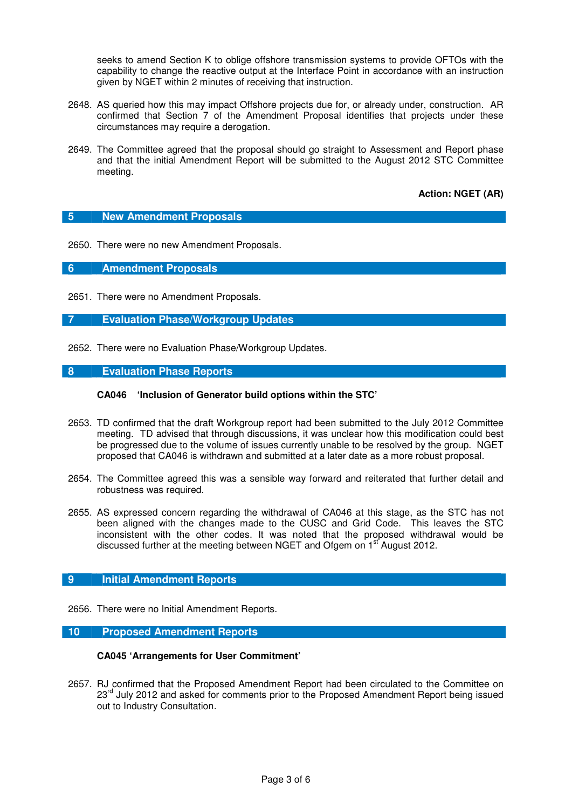seeks to amend Section K to oblige offshore transmission systems to provide OFTOs with the capability to change the reactive output at the Interface Point in accordance with an instruction given by NGET within 2 minutes of receiving that instruction.

- 2648. AS queried how this may impact Offshore projects due for, or already under, construction. AR confirmed that Section 7 of the Amendment Proposal identifies that projects under these circumstances may require a derogation.
- 2649. The Committee agreed that the proposal should go straight to Assessment and Report phase and that the initial Amendment Report will be submitted to the August 2012 STC Committee meeting.

**Action: NGET (AR)** 

#### **5 New Amendment Proposals**

2650. There were no new Amendment Proposals.

**6 Amendment Proposals** 

- 2651. There were no Amendment Proposals.
- **7 Evaluation Phase/Workgroup Updates**
- 2652. There were no Evaluation Phase/Workgroup Updates.

#### **8 Evaluation Phase Reports**

#### **CA046 'Inclusion of Generator build options within the STC'**

- 2653. TD confirmed that the draft Workgroup report had been submitted to the July 2012 Committee meeting. TD advised that through discussions, it was unclear how this modification could best be progressed due to the volume of issues currently unable to be resolved by the group. NGET proposed that CA046 is withdrawn and submitted at a later date as a more robust proposal.
- 2654. The Committee agreed this was a sensible way forward and reiterated that further detail and robustness was required.
- 2655. AS expressed concern regarding the withdrawal of CA046 at this stage, as the STC has not been aligned with the changes made to the CUSC and Grid Code. This leaves the STC inconsistent with the other codes. It was noted that the proposed withdrawal would be discussed further at the meeting between NGET and Ofgem on 1<sup>st</sup> August 2012.

#### **9** Initial Amendment Reports

2656. There were no Initial Amendment Reports.

# **10 Proposed Amendment Reports**

#### **CA045 'Arrangements for User Commitment'**

2657. RJ confirmed that the Proposed Amendment Report had been circulated to the Committee on 23<sup>rd</sup> July 2012 and asked for comments prior to the Proposed Amendment Report being issued out to Industry Consultation.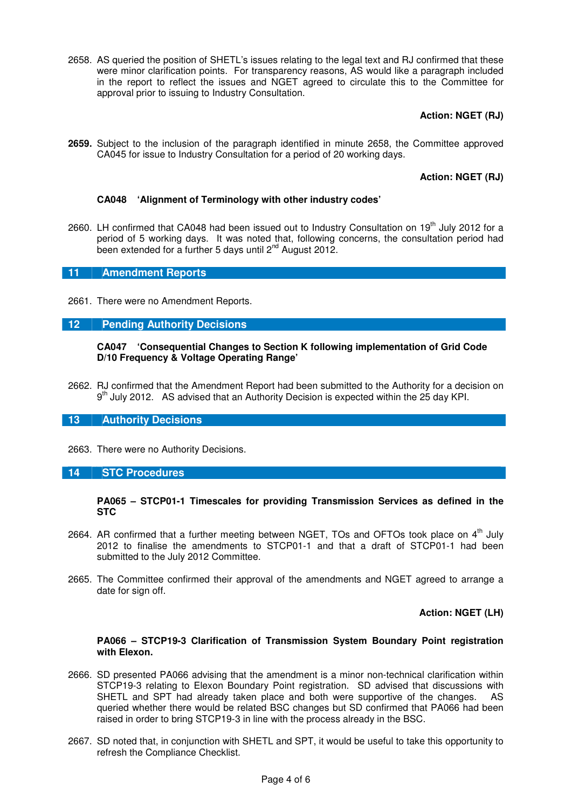2658. AS queried the position of SHETL's issues relating to the legal text and RJ confirmed that these were minor clarification points. For transparency reasons, AS would like a paragraph included in the report to reflect the issues and NGET agreed to circulate this to the Committee for approval prior to issuing to Industry Consultation.

# **Action: NGET (RJ)**

**2659.** Subject to the inclusion of the paragraph identified in minute 2658, the Committee approved CA045 for issue to Industry Consultation for a period of 20 working days.

# **Action: NGET (RJ)**

# **CA048 'Alignment of Terminology with other industry codes'**

2660. LH confirmed that CA048 had been issued out to Industry Consultation on 19<sup>th</sup> July 2012 for a period of 5 working days. It was noted that, following concerns, the consultation period had been extended for a further 5 days until  $2^{nd}$  August 2012.

# **11 Amendment Reports**

2661. There were no Amendment Reports.

# **12 Pending Authority Decisions**

#### **CA047 'Consequential Changes to Section K following implementation of Grid Code D/10 Frequency & Voltage Operating Range'**

2662. RJ confirmed that the Amendment Report had been submitted to the Authority for a decision on  $9<sup>th</sup>$  July 2012. AS advised that an Authority Decision is expected within the 25 day KPI.

# **13 Authority Decisions**

2663. There were no Authority Decisions.

#### **14 STC Procedures**

#### **PA065 – STCP01-1 Timescales for providing Transmission Services as defined in the STC**

- 2664. AR confirmed that a further meeting between NGET, TOs and OFTOs took place on  $4<sup>th</sup>$  July 2012 to finalise the amendments to STCP01-1 and that a draft of STCP01-1 had been submitted to the July 2012 Committee.
- 2665. The Committee confirmed their approval of the amendments and NGET agreed to arrange a date for sign off.

# **Action: NGET (LH)**

#### **PA066 – STCP19-3 Clarification of Transmission System Boundary Point registration with Elexon.**

- 2666. SD presented PA066 advising that the amendment is a minor non-technical clarification within STCP19-3 relating to Elexon Boundary Point registration. SD advised that discussions with SHETL and SPT had already taken place and both were supportive of the changes. AS queried whether there would be related BSC changes but SD confirmed that PA066 had been raised in order to bring STCP19-3 in line with the process already in the BSC.
- 2667. SD noted that, in conjunction with SHETL and SPT, it would be useful to take this opportunity to refresh the Compliance Checklist.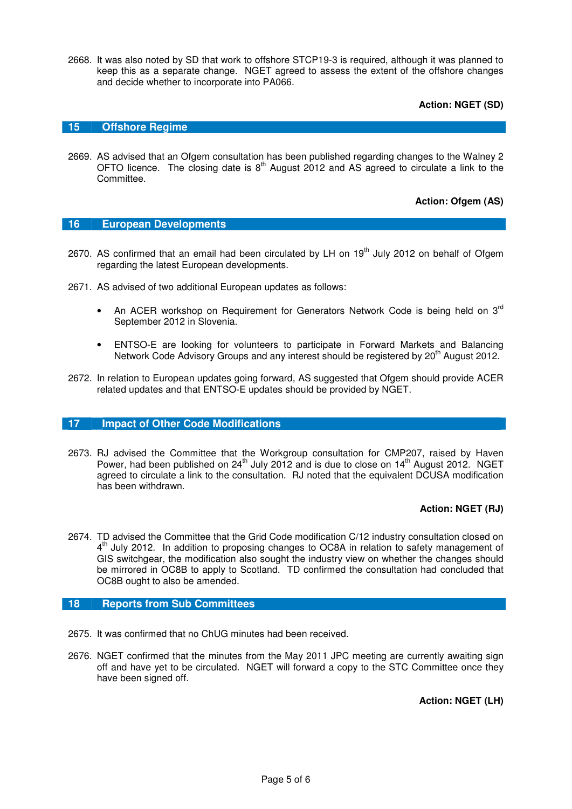2668. It was also noted by SD that work to offshore STCP19-3 is required, although it was planned to keep this as a separate change. NGET agreed to assess the extent of the offshore changes and decide whether to incorporate into PA066.

**Action: NGET (SD)** 

# **15 Offshore Regime**

2669. AS advised that an Ofgem consultation has been published regarding changes to the Walney 2 OFTO licence. The closing date is  $8<sup>th</sup>$  August 2012 and AS agreed to circulate a link to the Committee.

**Action: Ofgem (AS)** 

#### **16 European Developments**

- 2670. AS confirmed that an email had been circulated by LH on 19<sup>th</sup> July 2012 on behalf of Ofgem regarding the latest European developments.
- 2671. AS advised of two additional European updates as follows:
	- An ACER workshop on Requirement for Generators Network Code is being held on 3<sup>rd</sup> September 2012 in Slovenia.
	- ENTSO-E are looking for volunteers to participate in Forward Markets and Balancing Network Code Advisory Groups and any interest should be registered by 20<sup>th</sup> August 2012.
- 2672. In relation to European updates going forward, AS suggested that Ofgem should provide ACER related updates and that ENTSO-E updates should be provided by NGET.

#### **17 Impact of Other Code Modifications**

2673. RJ advised the Committee that the Workgroup consultation for CMP207, raised by Haven Power, had been published on  $24<sup>th</sup>$  July 2012 and is due to close on  $14<sup>th</sup>$  August 2012. NGET agreed to circulate a link to the consultation. RJ noted that the equivalent DCUSA modification has been withdrawn.

#### **Action: NGET (RJ)**

2674. TD advised the Committee that the Grid Code modification C/12 industry consultation closed on 4<sup>th</sup> July 2012. In addition to proposing changes to OC8A in relation to safety management of GIS switchgear, the modification also sought the industry view on whether the changes should be mirrored in OC8B to apply to Scotland. TD confirmed the consultation had concluded that OC8B ought to also be amended.

#### **18 Reports from Sub Committees**

- 2675. It was confirmed that no ChUG minutes had been received.
- 2676. NGET confirmed that the minutes from the May 2011 JPC meeting are currently awaiting sign off and have yet to be circulated. NGET will forward a copy to the STC Committee once they have been signed off.

**Action: NGET (LH)**